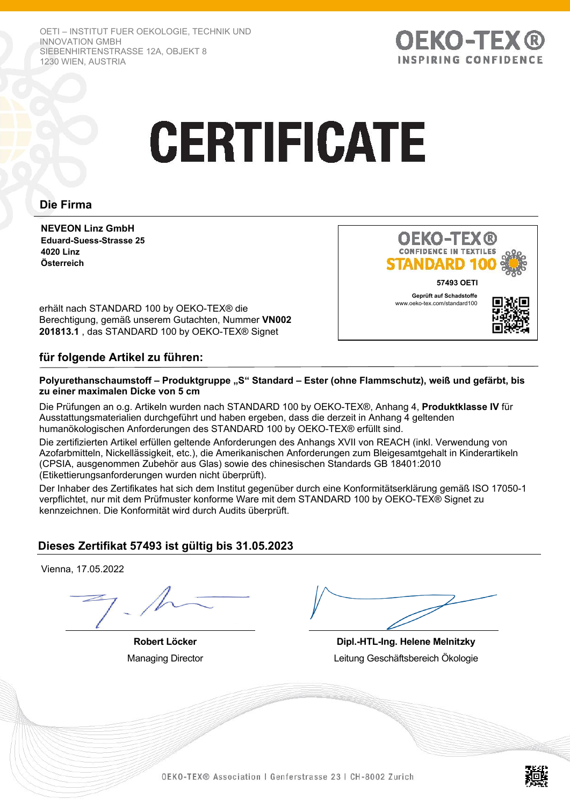OETI – INSTITUT FUER OEKOLOGIE, TECHNIK UND INNOVATION GMBH SIEBENHIRTENSTRASSE 12A, OBJEKT 8 1230 WIEN, AUSTRIA



# **CERTIFICATE**

# **Die Firma**

**NEVEON Linz GmbH Eduard-Suess-Strasse 25 4020 Linz Österreich**



erhält nach STANDARD 100 by OEKO-TEX® die Berechtigung, gemäß unserem Gutachten, Nummer **VN002 201813.1** , das STANDARD 100 by OEKO-TEX® Signet

# **für folgende Artikel zu führen:**

### Polyurethanschaumstoff – Produktgruppe "S" Standard – Ester (ohne Flammschutz), weiß und gefärbt, bis **zu einer maximalen Dicke von 5 cm**

Die Prüfungen an o.g. Artikeln wurden nach STANDARD 100 by OEKO-TEX®, Anhang 4, **Produktklasse IV** für Ausstattungsmaterialien durchgeführt und haben ergeben, dass die derzeit in Anhang 4 geltenden humanökologischen Anforderungen des STANDARD 100 by OEKO-TEX® erfüllt sind.

Die zertifizierten Artikel erfüllen geltende Anforderungen des Anhangs XVII von REACH (inkl. Verwendung von Azofarbmitteln, Nickellässigkeit, etc.), die Amerikanischen Anforderungen zum Bleigesamtgehalt in Kinderartikeln (CPSIA, ausgenommen Zubehör aus Glas) sowie des chinesischen Standards GB 18401:2010 (Etikettierungsanforderungen wurden nicht überprüft).

Der Inhaber des Zertifikates hat sich dem Institut gegenüber durch eine Konformitätserklärung gemäß ISO 17050-1 verpflichtet, nur mit dem Prüfmuster konforme Ware mit dem STANDARD 100 by OEKO-TEX® Signet zu kennzeichnen. Die Konformität wird durch Audits überprüft.

# **Dieses Zertifikat 57493 ist gültig bis 31.05.2023**

Vienna, 17.05.2022

**Robert Löcker** Managing Director

**Dipl.-HTL-Ing. Helene Melnitzky** Leitung Geschäftsbereich Ökologie